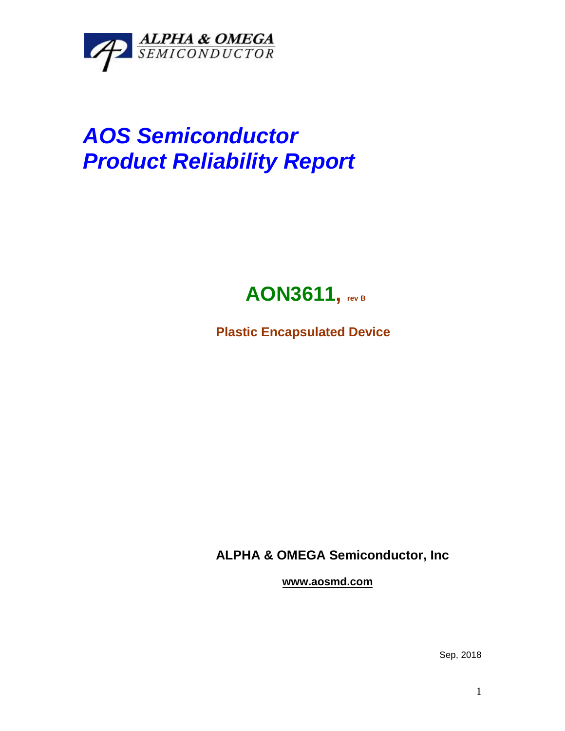

## *AOS Semiconductor Product Reliability Report*



**Plastic Encapsulated Device**

**ALPHA & OMEGA Semiconductor, Inc**

**www.aosmd.com**

Sep, 2018